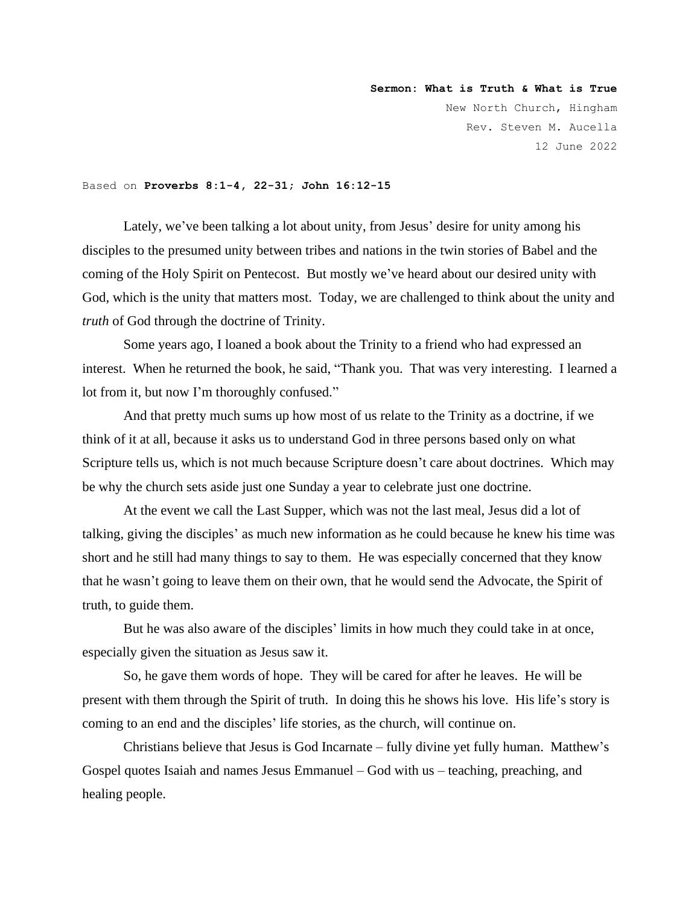**Sermon: What is Truth & What is True** New North Church, Hingham Rev. Steven M. Aucella 12 June 2022

## Based on **Proverbs 8:1-4, 22-31; John 16:12-15**

Lately, we've been talking a lot about unity, from Jesus' desire for unity among his disciples to the presumed unity between tribes and nations in the twin stories of Babel and the coming of the Holy Spirit on Pentecost. But mostly we've heard about our desired unity with God, which is the unity that matters most. Today, we are challenged to think about the unity and *truth* of God through the doctrine of Trinity.

Some years ago, I loaned a book about the Trinity to a friend who had expressed an interest. When he returned the book, he said, "Thank you. That was very interesting. I learned a lot from it, but now I'm thoroughly confused."

And that pretty much sums up how most of us relate to the Trinity as a doctrine, if we think of it at all, because it asks us to understand God in three persons based only on what Scripture tells us, which is not much because Scripture doesn't care about doctrines. Which may be why the church sets aside just one Sunday a year to celebrate just one doctrine.

At the event we call the Last Supper, which was not the last meal, Jesus did a lot of talking, giving the disciples' as much new information as he could because he knew his time was short and he still had many things to say to them. He was especially concerned that they know that he wasn't going to leave them on their own, that he would send the Advocate, the Spirit of truth, to guide them.

But he was also aware of the disciples' limits in how much they could take in at once, especially given the situation as Jesus saw it.

So, he gave them words of hope. They will be cared for after he leaves. He will be present with them through the Spirit of truth. In doing this he shows his love. His life's story is coming to an end and the disciples' life stories, as the church, will continue on.

Christians believe that Jesus is God Incarnate – fully divine yet fully human. Matthew's Gospel quotes Isaiah and names Jesus Emmanuel – God with us – teaching, preaching, and healing people.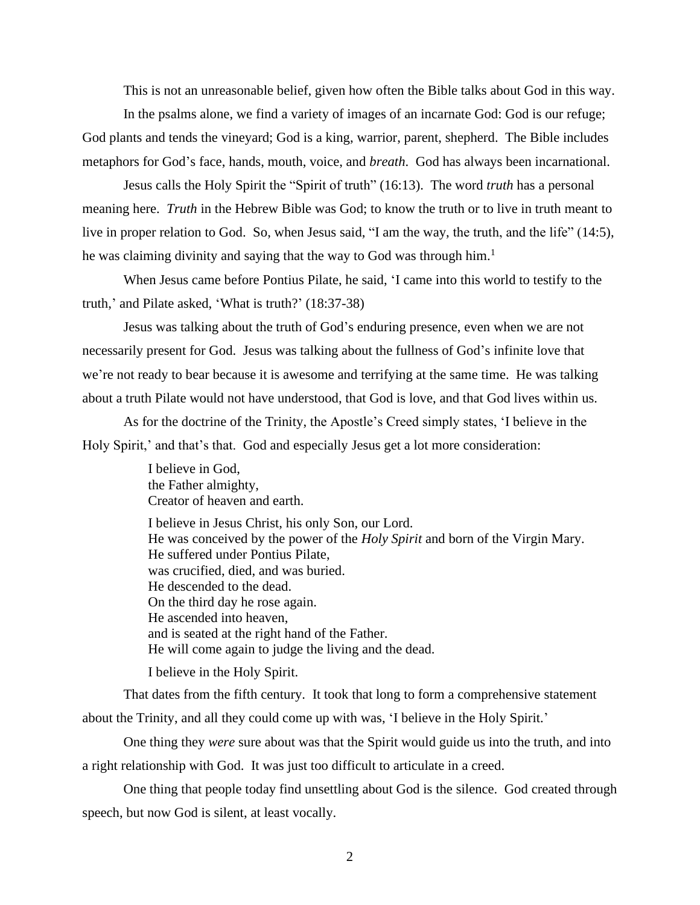This is not an unreasonable belief, given how often the Bible talks about God in this way.

In the psalms alone, we find a variety of images of an incarnate God: God is our refuge; God plants and tends the vineyard; God is a king, warrior, parent, shepherd. The Bible includes metaphors for God's face, hands, mouth, voice, and *breath*. God has always been incarnational.

Jesus calls the Holy Spirit the "Spirit of truth" (16:13). The word *truth* has a personal meaning here. *Truth* in the Hebrew Bible was God; to know the truth or to live in truth meant to live in proper relation to God. So, when Jesus said, "I am the way, the truth, and the life" (14:5), he was claiming divinity and saying that the way to God was through him. $<sup>1</sup>$ </sup>

When Jesus came before Pontius Pilate, he said, 'I came into this world to testify to the truth,' and Pilate asked, 'What is truth?' (18:37-38)

Jesus was talking about the truth of God's enduring presence, even when we are not necessarily present for God. Jesus was talking about the fullness of God's infinite love that we're not ready to bear because it is awesome and terrifying at the same time. He was talking about a truth Pilate would not have understood, that God is love, and that God lives within us.

As for the doctrine of the Trinity, the Apostle's Creed simply states, 'I believe in the Holy Spirit,' and that's that. God and especially Jesus get a lot more consideration:

> I believe in God, the Father almighty, Creator of heaven and earth.

I believe in Jesus Christ, his only Son, our Lord. He was conceived by the power of the *Holy Spirit* and born of the Virgin Mary. He suffered under Pontius Pilate, was crucified, died, and was buried. He descended to the dead. On the third day he rose again. He ascended into heaven, and is seated at the right hand of the Father. He will come again to judge the living and the dead.

I believe in the Holy Spirit.

That dates from the fifth century. It took that long to form a comprehensive statement about the Trinity, and all they could come up with was, 'I believe in the Holy Spirit.'

One thing they *were* sure about was that the Spirit would guide us into the truth, and into a right relationship with God. It was just too difficult to articulate in a creed.

One thing that people today find unsettling about God is the silence. God created through speech, but now God is silent, at least vocally.